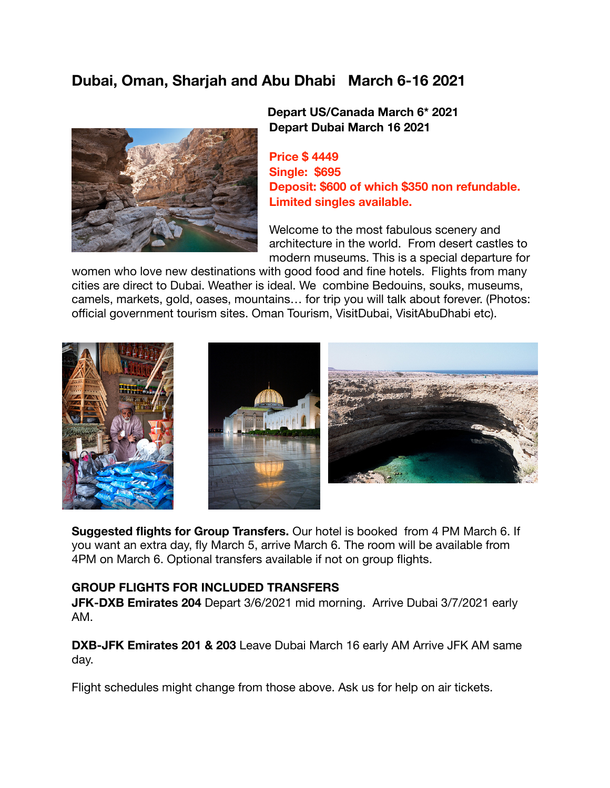# **Dubai, Oman, Sharjah and Abu Dhabi March 6-16 2021**



# **Depart US/Canada March 6\* 2021 Depart Dubai March 16 2021**

**Price \$ 4449 Single: \$695 Deposit: \$600 of which \$350 non refundable. Limited singles available.** 

Welcome to the most fabulous scenery and architecture in the world. From desert castles to modern museums. This is a special departure for

women who love new destinations with good food and fine hotels. Flights from many cities are direct to Dubai. Weather is ideal. We combine Bedouins, souks, museums, camels, markets, gold, oases, mountains… for trip you will talk about forever. (Photos: official government tourism sites. Oman Tourism, VisitDubai, VisitAbuDhabi etc).



**Suggested flights for Group Transfers.** Our hotel is booked from 4 PM March 6. If you want an extra day, fly March 5, arrive March 6. The room will be available from 4PM on March 6. Optional transfers available if not on group flights.

### **GROUP FLIGHTS FOR INCLUDED TRANSFERS**

**JFK-DXB Emirates 204** Depart 3/6/2021 mid morning. Arrive Dubai 3/7/2021 early AM.

**DXB-JFK Emirates 201 & 203** Leave Dubai March 16 early AM Arrive JFK AM same day.

Flight schedules might change from those above. Ask us for help on air tickets.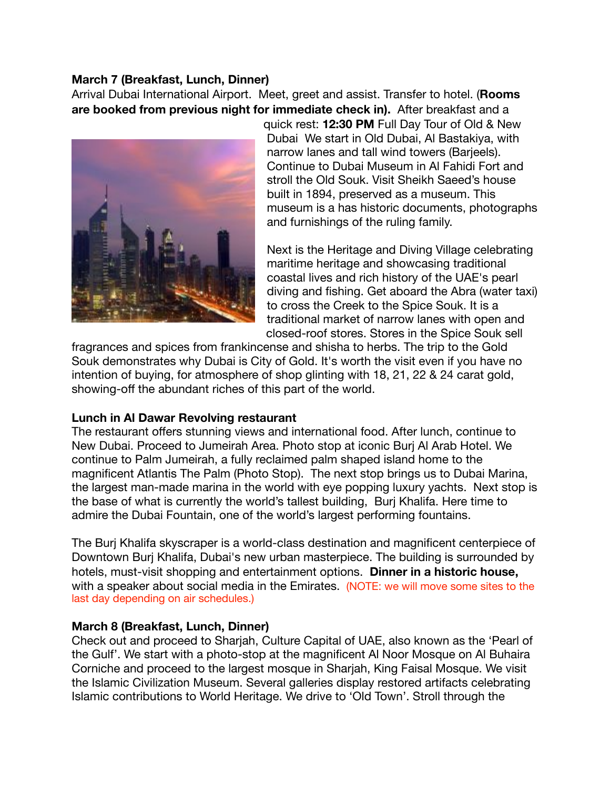### **March 7 (Breakfast, Lunch, Dinner)**

Arrival Dubai International Airport. Meet, greet and assist. Transfer to hotel. (**Rooms are booked from previous night for immediate check in).** After breakfast and a



quick rest: **12:30 PM** Full Day Tour of Old & New Dubai We start in Old Dubai, Al Bastakiya, with narrow lanes and tall wind towers (Barjeels). Continue to Dubai Museum in Al Fahidi Fort and stroll the Old Souk. Visit Sheikh Saeed's house built in 1894, preserved as a museum. This museum is a has historic documents, photographs and furnishings of the ruling family.

Next is the Heritage and Diving Village celebrating maritime heritage and showcasing traditional coastal lives and rich history of the UAE's pearl diving and fishing. Get aboard the Abra (water taxi) to cross the Creek to the Spice Souk. It is a traditional market of narrow lanes with open and closed-roof stores. Stores in the Spice Souk sell

fragrances and spices from frankincense and shisha to herbs. The trip to the Gold Souk demonstrates why Dubai is City of Gold. It's worth the visit even if you have no intention of buying, for atmosphere of shop glinting with 18, 21, 22 & 24 carat gold, showing-off the abundant riches of this part of the world.

### **Lunch in Al Dawar Revolving restaurant**

The restaurant offers stunning views and international food. After lunch, continue to New Dubai. Proceed to Jumeirah Area. Photo stop at iconic Burj Al Arab Hotel. We continue to Palm Jumeirah, a fully reclaimed palm shaped island home to the magnificent Atlantis The Palm (Photo Stop). The next stop brings us to Dubai Marina, the largest man-made marina in the world with eye popping luxury yachts. Next stop is the base of what is currently the world's tallest building, Burj Khalifa. Here time to admire the Dubai Fountain, one of the world's largest performing fountains.

The Burj Khalifa skyscraper is a world-class destination and magnificent centerpiece of Downtown Burj Khalifa, Dubai's new urban masterpiece. The building is surrounded by hotels, must-visit shopping and entertainment options. **Dinner in a historic house,**  with a speaker about social media in the Emirates. (NOTE: we will move some sites to the last day depending on air schedules.)

# **March 8 (Breakfast, Lunch, Dinner)**

Check out and proceed to Sharjah, Culture Capital of UAE, also known as the 'Pearl of the Gulf'. We start with a photo-stop at the magnificent Al Noor Mosque on Al Buhaira Corniche and proceed to the largest mosque in Sharjah, King Faisal Mosque. We visit the Islamic Civilization Museum. Several galleries display restored artifacts celebrating Islamic contributions to World Heritage. We drive to 'Old Town'. Stroll through the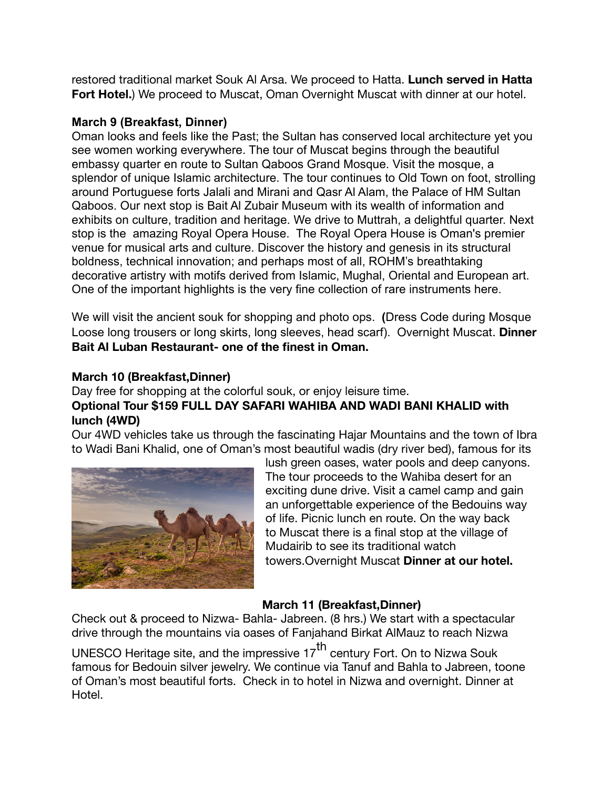restored traditional market Souk Al Arsa. We proceed to Hatta. **Lunch served in Hatta Fort Hotel.**) We proceed to Muscat, Oman Overnight Muscat with dinner at our hotel.

# **March 9 (Breakfast, Dinner)**

Oman looks and feels like the Past; the Sultan has conserved local architecture yet you see women working everywhere. The tour of Muscat begins through the beautiful embassy quarter en route to Sultan Qaboos Grand Mosque. Visit the mosque, a splendor of unique Islamic architecture. The tour continues to Old Town on foot, strolling around Portuguese forts Jalali and Mirani and Qasr Al Alam, the Palace of HM Sultan Qaboos. Our next stop is Bait Al Zubair Museum with its wealth of information and exhibits on culture, tradition and heritage. We drive to Muttrah, a delightful quarter. Next stop is the amazing Royal Opera House. The Royal Opera House is Oman's premier venue for musical arts and culture. Discover the history and genesis in its structural boldness, technical innovation; and perhaps most of all, ROHM's breathtaking decorative artistry with motifs derived from Islamic, Mughal, Oriental and European art. One of the important highlights is the very fine collection of rare instruments here.

We will visit the ancient souk for shopping and photo ops. **(**Dress Code during Mosque Loose long trousers or long skirts, long sleeves, head scarf). Overnight Muscat. **Dinner Bait Al Luban Restaurant- one of the finest in Oman.**

### **March 10 (Breakfast,Dinner)**

# Day free for shopping at the colorful souk, or enjoy leisure time. **Optional Tour \$159 FULL DAY SAFARI WAHIBA AND WADI BANI KHALID with lunch (4WD)**

Our 4WD vehicles take us through the fascinating Hajar Mountains and the town of Ibra to Wadi Bani Khalid, one of Oman's most beautiful wadis (dry river bed), famous for its



lush green oases, water pools and deep canyons. The tour proceeds to the Wahiba desert for an exciting dune drive. Visit a camel camp and gain an unforgettable experience of the Bedouins way of life. Picnic lunch en route. On the way back to Muscat there is a final stop at the village of Mudairib to see its traditional watch towers.Overnight Muscat **Dinner at our hotel.** 

# **March 11 (Breakfast,Dinner)**

Check out & proceed to Nizwa- Bahla- Jabreen. (8 hrs.) We start with a spectacular drive through the mountains via oases of Fanjahand Birkat AlMauz to reach Nizwa

UNESCO Heritage site, and the impressive 17<sup>th</sup> century Fort. On to Nizwa Souk famous for Bedouin silver jewelry. We continue via Tanuf and Bahla to Jabreen, toone of Oman's most beautiful forts. Check in to hotel in Nizwa and overnight. Dinner at Hotel.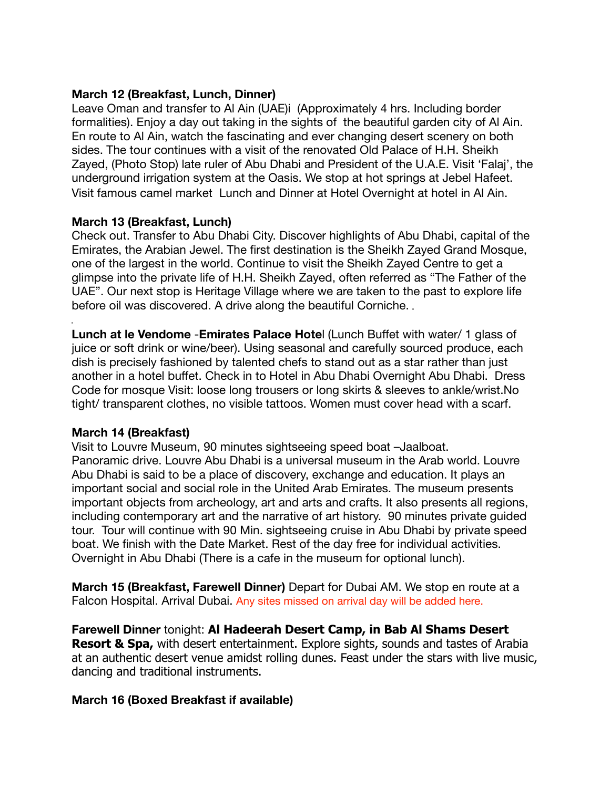### **March 12 (Breakfast, Lunch, Dinner)**

Leave Oman and transfer to Al Ain (UAE)i (Approximately 4 hrs. Including border formalities). Enjoy a day out taking in the sights of the beautiful garden city of Al Ain. En route to Al Ain, watch the fascinating and ever changing desert scenery on both sides. The tour continues with a visit of the renovated Old Palace of H.H. Sheikh Zayed, (Photo Stop) late ruler of Abu Dhabi and President of the U.A.E. Visit 'Falaj', the underground irrigation system at the Oasis. We stop at hot springs at Jebel Hafeet. Visit famous camel market Lunch and Dinner at Hotel Overnight at hotel in Al Ain.

### **March 13 (Breakfast, Lunch)**

Check out. Transfer to Abu Dhabi City. Discover highlights of Abu Dhabi, capital of the Emirates, the Arabian Jewel. The first destination is the Sheikh Zayed Grand Mosque, one of the largest in the world. Continue to visit the Sheikh Zayed Centre to get a glimpse into the private life of H.H. Sheikh Zayed, often referred as "The Father of the UAE". Our next stop is Heritage Village where we are taken to the past to explore life before oil was discovered. A drive along the beautiful Corniche.

**Lunch at le Vendome** -**Emirates Palace Hote**l (Lunch Buffet with water/ 1 glass of juice or soft drink or wine/beer). Using seasonal and carefully sourced produce, each dish is precisely fashioned by talented chefs to stand out as a star rather than just another in a hotel buffet. Check in to Hotel in Abu Dhabi Overnight Abu Dhabi. Dress Code for mosque Visit: loose long trousers or long skirts & sleeves to ankle/wrist.No tight/ transparent clothes, no visible tattoos. Women must cover head with a scarf.

### **March 14 (Breakfast)**

Visit to Louvre Museum, 90 minutes sightseeing speed boat –Jaalboat. Panoramic drive. Louvre Abu Dhabi is a universal museum in the Arab world. Louvre Abu Dhabi is said to be a place of discovery, exchange and education. It plays an important social and social role in the United Arab Emirates. The museum presents important objects from archeology, art and arts and crafts. It also presents all regions, including contemporary art and the narrative of art history. 90 minutes private guided tour. Tour will continue with 90 Min. sightseeing cruise in Abu Dhabi by private speed boat. We finish with the Date Market. Rest of the day free for individual activities. Overnight in Abu Dhabi (There is a cafe in the museum for optional lunch).

**March 15 (Breakfast, Farewell Dinner)** Depart for Dubai AM. We stop en route at a Falcon Hospital. Arrival Dubai. Any sites missed on arrival day will be added here.

**Farewell Dinner** tonight: **Al Hadeerah Desert Camp, in Bab Al Shams Desert Resort & Spa,** with desert entertainment. Explore sights, sounds and tastes of Arabia at an authentic desert venue amidst rolling dunes. Feast under the stars with live music, dancing and traditional instruments.

### **March 16 (Boxed Breakfast if available)**